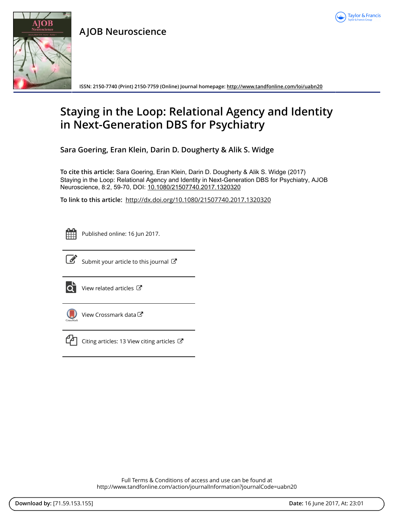

**AJOB Neuroscience**

**ISSN: 2150-7740 (Print) 2150-7759 (Online) Journal homepage:<http://www.tandfonline.com/loi/uabn20>**

## **Staying in the Loop: Relational Agency and Identity in Next-Generation DBS for Psychiatry**

**Sara Goering, Eran Klein, Darin D. Dougherty & Alik S. Widge**

**To cite this article:** Sara Goering, Eran Klein, Darin D. Dougherty & Alik S. Widge (2017) Staying in the Loop: Relational Agency and Identity in Next-Generation DBS for Psychiatry, AJOB Neuroscience, 8:2, 59-70, DOI: [10.1080/21507740.2017.1320320](http://www.tandfonline.com/action/showCitFormats?doi=10.1080/21507740.2017.1320320)

**To link to this article:** <http://dx.doi.org/10.1080/21507740.2017.1320320>

Published online: 16 Jun 2017.



 $\mathbb{Z}$  [Submit your article to this journal](http://www.tandfonline.com/action/authorSubmission?journalCode=uabn20&show=instructions)  $\mathbb{Z}$ 



 $\overrightarrow{Q}$  [View related articles](http://www.tandfonline.com/doi/mlt/10.1080/21507740.2017.1320320)  $\overrightarrow{C}$ 



[View Crossmark data](http://crossmark.crossref.org/dialog/?doi=10.1080/21507740.2017.1320320&domain=pdf&date_stamp=2017-06-16)



 $\Box$  [Citing articles: 13 View citing articles](http://www.tandfonline.com/doi/citedby/10.1080/21507740.2017.1320320#tabModule)  $\Box$ 

Full Terms & Conditions of access and use can be found at <http://www.tandfonline.com/action/journalInformation?journalCode=uabn20>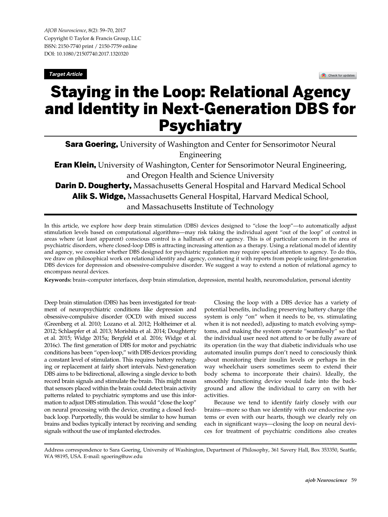Target Article

Check for updates

# Staying in the Loop: Relational Agency and Identity in Next-Generation DBS for **Psychiatry**

**Sara Goering,** University of Washington and Center for Sensorimotor Neural Engineering

**Eran Klein,** University of Washington, Center for Sensorimotor Neural Engineering, and Oregon Health and Science University

**Darin D. Dougherty,** Massachusetts General Hospital and Harvard Medical School **Alik S. Widge,** Massachusetts General Hospital, Harvard Medical School, and Massachusetts Institute of Technology

In this article, we explore how deep brain stimulation (DBS) devices designed to "close the loop"—to automatically adjust stimulation levels based on computational algorithms—may risk taking the individual agent "out of the loop" of control in areas where (at least apparent) conscious control is a hallmark of our agency. This is of particular concern in the area of psychiatric disorders, where closed-loop DBS is attracting increasing attention as a therapy. Using a relational model of identity and agency, we consider whether DBS designed for psychiatric regulation may require special attention to agency. To do this, we draw on philosophical work on relational identity and agency, connecting it with reports from people using first-generation DBS devices for depression and obsessive-compulsive disorder. We suggest a way to extend a notion of relational agency to encompass neural devices.

Keywords: brain–computer interfaces, deep brain stimulation, depression, mental health, neuromodulation, personal identity

Deep brain stimulation (DBS) has been investigated for treatment of neuropsychiatric conditions like depression and obsessive-compulsive disorder (OCD) with mixed success (Greenberg et al. 2010; Lozano et al. 2012; Holtheimer et al. 2012; Schlaepfer et al. 2013; Morishita et al. 2014; Doughterty et al. 2015; Widge 2015a; Bergfeld et al. 2016; Widge et al. 2016c). The first generation of DBS for motor and psychiatric conditions has been "open-loop," with DBS devices providing a constant level of stimulation. This requires battery recharging or replacement at fairly short intervals. Next-generation DBS aims to be bidirectional, allowing a single device to both record brain signals and stimulate the brain. This might mean that sensors placed within the brain could detect brain activity patterns related to psychiatric symptoms and use this information to adjust DBS stimulation. This would "close the loop" on neural processing with the device, creating a closed feedback loop. Purportedly, this would be similar to how human brains and bodies typically interact by receiving and sending signals without the use of implanted electrodes.

Closing the loop with a DBS device has a variety of potential benefits, including preserving battery charge (the system is only "on" when it needs to be, vs. stimulating when it is not needed), adjusting to match evolving symptoms, and making the system operate "seamlessly" so that the individual user need not attend to or be fully aware of its operation (in the way that diabetic individuals who use automated insulin pumps don't need to consciously think about monitoring their insulin levels or perhaps in the way wheelchair users sometimes seem to extend their body schema to incorporate their chairs). Ideally, the smoothly functioning device would fade into the background and allow the individual to carry on with her activities.

Because we tend to identify fairly closely with our brains—more so than we identify with our endocrine systems or even with our hearts, though we clearly rely on each in significant ways—closing the loop on neural devices for treatment of psychiatric conditions also creates

Address correspondence to Sara Goering, University of Washington, Department of Philosophy, 361 Savery Hall, Box 353350, Seattle, WA 98195, USA. E-mail: sgoering@uw.edu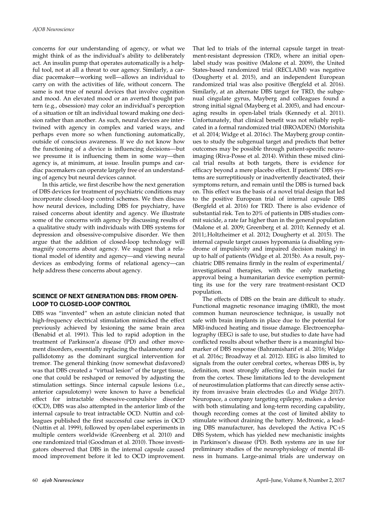concerns for our understanding of agency, or what we might think of as the individual's ability to deliberately act. An insulin pump that operates automatically is a helpful tool, not at all a threat to our agency. Similarly, a cardiac pacemaker—working well—allows an individual to carry on with the activities of life, without concern. The same is not true of neural devices that involve cognition and mood. An elevated mood or an averted thought pattern (e.g., obsession) may color an individual's perception of a situation or tilt an individual toward making one decision rather than another. As such, neural devices are intertwined with agency in complex and varied ways, and perhaps even more so when functioning automatically, outside of conscious awareness. If we do not know how the functioning of a device is influencing decisions—but we presume it is influencing them in some way—then agency is, at minimum, at issue. Insulin pumps and cardiac pacemakers can operate largely free of an understanding of agency but neural devices cannot.

In this article, we first describe how the next generation of DBS devices for treatment of psychiatric conditions may incorporate closed-loop control schemes. We then discuss how neural devices, including DBS for psychiatry, have raised concerns about identity and agency. We illustrate some of the concerns with agency by discussing results of a qualitative study with individuals with DBS systems for depression and obsessive-compulsive disorder. We then argue that the addition of closed-loop technology will magnify concerns about agency. We suggest that a relational model of identity and agency—and viewing neural devices as embodying forms of relational agency—can help address these concerns about agency.

### SCIENCE OF NEXT GENERATION DBS: FROM OPEN-LOOP TO CLOSED-LOOP CONTROL

DBS was "invented" when an astute clinician noted that high-frequency electrical stimulation mimicked the effect previously achieved by lesioning the same brain area (Benabid et al. 1991). This led to rapid adoption in the treatment of Parkinson'a disease (PD) and other movement disorders, essentially replacing the thalamotomy and pallidotomy as the dominant surgical intervention for tremor. The general thinking (now somewhat disfavored) was that DBS created a "virtual lesion" of the target tissue, one that could be reshaped or removed by adjusting the stimulation settings. Since internal capsule lesions (i.e., anterior capsulotomy) were known to have a beneficial effect for intractable obsessive-compulsive disorder (OCD), DBS was also attempted in the anterior limb of the internal capsule to treat intractable OCD. Nuttin and colleagues published the first successful case series in OCD (Nuttin et al. 1999), followed by open-label experiments in multiple centers worldwide (Greenberg et al. 2010) and one randomized trial (Goodman et al. 2010). Those investigators observed that DBS in the internal capsule caused mood improvement before it led to OCD improvement.

That led to trials of the internal capsule target in treatment-resistant depression (TRD), where an initial openlabel study was positive (Malone et al. 2009), the United States-based randomized trial (RECLAIM) was negative (Dougherty et al. 2015), and an independent European randomized trial was also positive (Bergfeld et al. 2016). Similarly, at an alternate DBS target for TRD, the subgenual cingulate gyrus, Mayberg and colleagues found a strong initial signal (Mayberg et al. 2005), and had encouraging results in open-label trials (Kennedy et al. 2011). Unfortunately, that clinical benefit was not reliably replicated in a formal randomized trial (BROADEN) (Morishita et al. 2014; Widge et al. 2016c). The Mayberg group continues to study the subgenual target and predicts that better outcomes may be possible through patient-specific neuroimaging (Riva-Posse et al. 2014). Within these mixed clinical trial results at both targets, there is evidence for efficacy beyond a mere placebo effect. If patients' DBS systems are surreptitiously or inadvertently deactivated, their symptoms return, and remain until the DBS is turned back on. This effect was the basis of a novel trial design that led to the positive European trial of internal capsule DBS (Bergfeld et al. 2016) for TRD. There is also evidence of substantial risk. Ten to 20% of patients in DBS studies commit suicide, a rate far higher than in the general population (Malone et al. 2009; Greenberg et al. 2010; Kennedy et al. 2011;.Holtzheimer et al. 2012; Dougherty et al. 2015). The internal capsule target causes hypomania (a disabling syndrome of impulsivity and impaired decision making) in up to half of patients (Widge et al. 2015b). As a result, psychiatric DBS remains firmly in the realm of experimental/ investigational therapies, with the only marketing approval being a humanitarian device exemption permitting its use for the very rare treatment-resistant OCD population.

The effects of DBS on the brain are difficult to study. Functional magnetic resonance imaging (fMRI), the most common human neuroscience technique, is usually not safe with brain implants in place due to the potential for MRI-induced heating and tissue damage. Electroencephalography (EEG) is safe to use, but studies to date have had conflicted results about whether there is a meaningful biomarker of DBS response (Bahramisharif et al. 2016; Widge et al. 2016c; Broadway et al. 2012). EEG is also limited to signals from the outer cerebral cortex, whereas DBS is, by definition, most strongly affecting deep brain nuclei far from the cortex. These limitations led to the development of neurostimulation platforms that can directly sense activity from invasive brain electrodes (Lo and Widge 2017). Neuropace, a company targeting epilepsy, makes a device with both stimulating and long-term recording capability, though recording comes at the cost of limited ability to stimulate without draining the battery. Medtronic, a leading DBS manufacturer, has developed the Activa  $PC + S$ DBS System, which has yielded new mechanistic insights in Parkinson's disease (PD). Both systems are in use for preliminary studies of the neurophysiology of mental illness in humans. Large-animal trials are underway on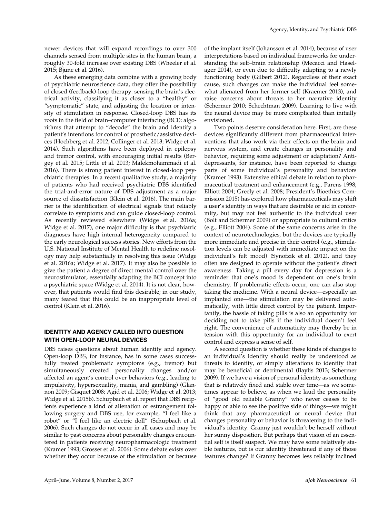newer devices that will expand recordings to over 300 channels sensed from multiple sites in the human brain, a roughly 30-fold increase over existing DBS (Wheeler et al. 2015; Bjune et al. 2016).

As these emerging data combine with a growing body of psychiatric neuroscience data, they offer the possibility of closed (feedback)-loop therapy: sensing the brain's electrical activity, classifying it as closer to a "healthy" or "symptomatic" state, and adjusting the location or intensity of stimulation in response. Closed-loop DBS has its roots in the field of brain–computer interfacing (BCI): algorithms that attempt to "decode" the brain and identify a patient's intentions for control of prosthetic/assistive devices (Hochberg et al. 2012; Collinger et al. 2013; Widge et al. 2014). Such algorithms have been deployed in epilepsy and tremor control, with encouraging initial results (Bergey et al. 2015; Little et al. 2013; Malekmohammadi et al. 2016). There is strong patient interest in closed-loop psychiatric therapies. In a recent qualitative study, a majority of patients who had received psychiatric DBS identified the trial-and-error nature of DBS adjustment as a major source of dissatisfaction (Klein et al. 2016). The main barrier is the identification of electrical signals that reliably correlate to symptoms and can guide closed-loop control. As recently reviewed elsewhere (Widge et al. 2016a; Widge et al. 2017), one major difficulty is that psychiatric diagnoses have high internal heterogeneity compared to the early neurological success stories. New efforts from the U.S. National Institute of Mental Health to redefine nosology may help substantially in resolving this issue (Widge et al. 2016a; Widge et al. 2017). It may also be possible to give the patient a degree of direct mental control over the neurostimulator, essentially adapting the BCI concept into a psychiatric space (Widge et al. 2014). It is not clear, however, that patients would find this desirable; in our study, many feared that this could be an inappropriate level of control (Klein et al. 2016).

#### IDENTITY AND AGENCY CALLED INTO QUESTION WITH OPEN-LOOP NEURAL DEVICES

DBS raises questions about human identity and agency. Open-loop DBS, for instance, has in some cases successfully treated problematic symptoms (e.g., tremor) but simultaneously created personality changes and/or affected an agent's control over behaviors (e.g., leading to impulsivity, hypersexuality, mania, and gambling) (Glannon 2009; Gisquet 2008; Agid et al. 2006; Widge et al. 2013; Widge et al. 2015b). Schupbach et al. report that DBS recipients experience a kind of alienation or estrangement following surgery and DBS use, for example, "I feel like a robot" or "I feel like an electric doll" (Schupbach et al. 2006). Such changes do not occur in all cases and may be similar to past concerns about personality changes encountered in patients receiving neuropharmacologic treatment (Kramer 1993; Grosset et al. 2006). Some debate exists over whether they occur because of the stimulation or because of the implant itself (Johansson et al. 2014), because of user interpretations based on individual frameworks for understanding the self–brain relationship (Mecacci and Haselager 2014), or even due to difficulty adapting to a newly functioning body (Gilbert 2012). Regardless of their exact cause, such changes can make the individual feel somewhat alienated from her former self (Kraemer 2013), and raise concerns about threats to her narrative identity (Schermer 2010; Schechtman 2009). Learning to live with the neural device may be more complicated than initially envisioned.

Two points deserve consideration here. First, are these devices significantly different from pharmaceutical interventions that also work via their effects on the brain and nervous system, and create changes in personality and behavior, requiring some adjustment or adaptation? Antidepressants, for instance, have been reported to change parts of some individual's personality and behaviors (Kramer 1993). Extensive ethical debate in relation to pharmaceutical treatment and enhancement (e.g., Parens 1998; Elliott 2004; Greely et al. 2008; President's Bioethics Commission 2015) has explored how pharmaceuticals may shift a user's identity in ways that are desirable or aid in conformity, but may not feel authentic to the individual user (Bolt and Schermer 2009) or appropriate to cultural critics (e.g., Elliott 2004). Some of the same concerns arise in the context of neurotechnologies, but the devices are typically more immediate and precise in their control (e.g., stimulation levels can be adjusted with immediate impact on the individual's felt mood) (Synofzik et al. 2012), and they often are designed to operate without the patient's direct awareness. Taking a pill every day for depression is a reminder that one's mood is dependent on one's brain chemistry. If problematic effects occur, one can also stop taking the medicine. With a neural device—especially an implanted one—the stimulation may be delivered automatically, with little direct control by the patient. Importantly, the hassle of taking pills is also an opportunity for deciding not to take pills if the individual doesn't feel right. The convenience of automaticity may thereby be in tension with this opportunity for an individual to exert control and express a sense of self.

A second question is whether these kinds of changes to an individual's identity should really be understood as threats to identity, or simply alterations to identity that may be beneficial or detrimental (Baylis 2013; Schermer 2009). If we have a vision of personal identity as something that is relatively fixed and stable over time—as we sometimes appear to believe, as when we laud the personality of "good old reliable Granny" who never ceases to be happy or able to see the positive side of things—we might think that any pharmaceutical or neural device that changes personality or behavior is threatening to the individual's identity. Granny just wouldn't be herself without her sunny disposition. But perhaps that vision of an essential self is itself suspect. We may have some relatively stable features, but is our identity threatened if any of those features change? If Granny becomes less reliably inclined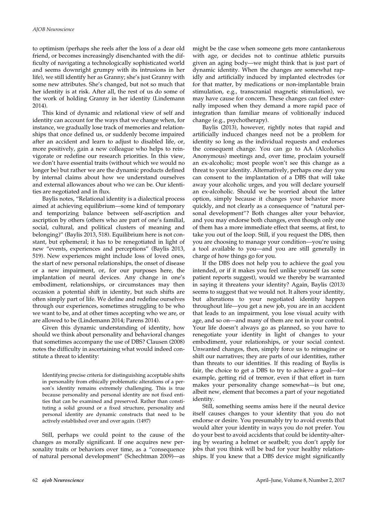to optimism (perhaps she reels after the loss of a dear old friend, or becomes increasingly disenchanted with the difficulty of navigating a technologically sophisticated world and seems downright grumpy with its intrusions in her life), we still identify her as Granny; she's just Granny with some new attributes. She's changed, but not so much that her identity is at risk. After all, the rest of us do some of the work of holding Granny in her identity (Lindemann 2014).

This kind of dynamic and relational view of self and identity can account for the ways that we change when, for instance, we gradually lose track of memories and relationships that once defined us, or suddenly become impaired after an accident and learn to adjust to disabled life, or, more positively, gain a new colleague who helps to reinvigorate or redefine our research priorities. In this view, we don't have essential traits (without which we would no longer be) but rather we are the dynamic products defined by internal claims about how we understand ourselves and external allowances about who we can be. Our identities are negotiated and in flux.

Baylis notes, "Relational identity is a dialectical process aimed at achieving equilibrium—some kind of temporary and temporizing balance between self-ascription and ascription by others (others who are part of one's familial, social, cultural, and political clusters of meaning and belonging)" (Baylis 2013, 518). Equilibrium here is not constant, but ephemeral; it has to be renegotiated in light of new "events, experiences and perceptions" (Baylis 2013, 519). New experiences might include loss of loved ones, the start of new personal relationships, the onset of disease or a new impairment, or, for our purposes here, the implantation of neural devices. Any change in one's embodiment, relationships, or circumstances may then occasion a potential shift in identity, but such shifts are often simply part of life. We define and redefine ourselves through our experiences, sometimes struggling to be who we want to be, and at other times accepting who we are, or are allowed to be (Lindemann 2014; Parens 2014).

Given this dynamic understanding of identity, how should we think about personality and behavioral changes that sometimes accompany the use of DBS? Clausen (2008) notes the difficulty in ascertaining what would indeed constitute a threat to identity:

Identifying precise criteria for distinguishing acceptable shifts in personality from ethically problematic alterations of a person's identity remains extremely challenging. This is true because personality and personal identity are not fixed entities that can be examined and preserved. Rather than constituting a solid ground or a fixed structure, personality and personal identity are dynamic constructs that need to be actively established over and over again. (1497)

Still, perhaps we could point to the cause of the changes as morally significant. If one acquires new personality traits or behaviors over time, as a "consequence of natural personal development" (Schechtman 2009)—as might be the case when someone gets more cantankerous with age, or decides not to continue athletic pursuits given an aging body—we might think that is just part of dynamic identity. When the changes are somewhat rapidly and artificially induced by implanted electrodes (or for that matter, by medications or non-implantable brain stimulation, e.g., transcranial magnetic stimulation), we may have cause for concern. These changes can feel externally imposed when they demand a more rapid pace of integration than familiar means of volitionally induced change (e.g., psychotherapy).

Baylis (2013), however, rightly notes that rapid and artificially induced changes need not be a problem for identity so long as the individual requests and endorses the consequent change. You can go to AA (Alcoholics Anonymous) meetings and, over time, proclaim yourself an ex-alcoholic; most people won't see this change as a threat to your identity. Alternatively, perhaps one day you can consent to the implantation of a DBS that will take away your alcoholic urges, and you will declare yourself an ex-alcoholic. Should we be worried about the latter option, simply because it changes your behavior more quickly, and not clearly as a consequence of "natural personal development"? Both changes alter your behavior, and you may endorse both changes, even though only one of them has a more immediate effect that seems, at first, to take you out of the loop. Still, if you request the DBS, then you are choosing to manage your condition—you're using a tool available to you—and you are still generally in charge of how things go for you.

If the DBS does not help you to achieve the goal you intended, or if it makes you feel unlike yourself (as some patient reports suggest), would we thereby be warranted in saying it threatens your identity? Again, Baylis (2013) seems to suggest that we would not. It alters your identity, but alterations to your negotiated identity happen throughout life—you get a new job, you are in an accident that leads to an impairment, you lose visual acuity with age, and so on—and many of them are not in your control. Your life doesn't always go as planned, so you have to renegotiate your identity in light of changes to your embodiment, your relationships, or your social context. Unwanted changes, then, simply force us to reimagine or shift our narratives; they are parts of our identities, rather than threats to our identities. If this reading of Baylis is fair, the choice to get a DBS to try to achieve a goal—for example, getting rid of tremor, even if that effort in turn makes your personality change somewhat—is but one, albeit new, element that becomes a part of your negotiated identity.

Still, something seems amiss here if the neural device itself causes changes to your identity that you do not endorse or desire. You presumably try to avoid events that would alter your identity in ways you do not prefer. You do your best to avoid accidents that could be identity-altering by wearing a helmet or seatbelt; you don't apply for jobs that you think will be bad for your healthy relationships. If you knew that a DBS device might significantly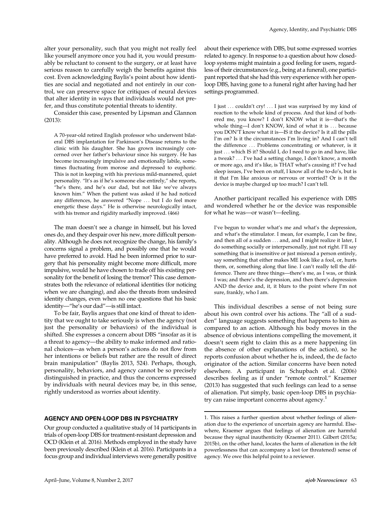alter your personality, such that you might not really feel like yourself anymore once you had it, you would presumably be reluctant to consent to the surgery, or at least have serious reason to carefully weigh the benefits against this cost. Even acknowledging Baylis's point about how identities are social and negotiated and not entirely in our control, we can preserve space for critiques of neural devices that alter identity in ways that individuals would not prefer, and thus constitute potential threats to identity.

Consider this case, presented by Lipsman and Glannon (2013):

A 70-year-old retired English professor who underwent bilateral DBS implantation for Parkinson's Disease returns to the clinic with his daughter. She has grown increasingly concerned over her father's behaviour since his surgery. He has become increasingly impulsive and emotionally labile, sometimes fluctuating from morose and depressed to euphoric. This is not in keeping with his previous mild-mannered, quiet personality. "It's as if he's someone else entirely," she reports, "he's there, and he's our dad, but not like we've always known him." When the patient was asked if he had noticed any differences, he answered "Nope ... but I do feel more energetic these days." He is otherwise neurologically intact, with his tremor and rigidity markedly improved. (466)

The man doesn't see a change in himself, but his loved ones do, and they despair over his new, more difficult personality. Although he does not recognize the change, his family's concerns signal a problem, and possibly one that he would have preferred to avoid. Had he been informed prior to surgery that his personality might become more difficult, more impulsive, would he have chosen to trade off his existing personality for the benefit of losing the tremor? This case demonstrates both the relevance of relational identities (for noticing when we are changing), and also the threats from undesired identity changes, even when no one questions that his basic identity—"he's our dad"—is still intact.

To be fair, Baylis argues that one kind of threat to identity that we ought to take seriously is when the agency (not just the personality or behaviors) of the individual is shifted. She expresses a concern about DBS "insofar as it is a threat to agency—the ability to make informed and rational choices—as when a person's actions do not flow from her intentions or beliefs but rather are the result of direct brain manipulation" (Baylis 2013, 524). Perhaps, though, personality, behaviors, and agency cannot be so precisely distinguished in practice, and thus the concerns expressed by individuals with neural devices may be, in this sense, rightly understood as worries about identity.

#### AGENCY AND OPEN-LOOP DBS IN PSYCHIATRY

Our group conducted a qualitative study of 14 participants in trials of open-loop DBS for treatment-resistant depression and OCD (Klein et al. 2016). Methods employed in the study have been previously described (Klein et al. 2016). Participants in a focus group and individual interviews were generally positive about their experience with DBS, but some expressed worries related to agency. In response to a question about how closedloop systems might maintain a good feeling for users, regardless of their circumstances (e.g., being at a funeral), one participant reported that she had this very experience with her openloop DBS, having gone to a funeral right after having had her settings programmed.

I just ... couldn't cry! ... I just was surprised by my kind of reaction to the whole kind of process. And that kind of bothered me, you know? I don't KNOW what it is—that's the whole thing—I don't KNOW, kind of what it is ... because you DON'T know what it is—IS it the device? Is it all the pills I'm on? Is it the circumstances I'm living in? And I can't tell the difference ... Problems concentrating or whatever, is it just ... which IS it? Should I, do I need to go in and have, like a tweak? ... I've had a setting change, I don't know, a month or more ago, and it's like, is THAT what's causing it? I've had sleep issues, I've been on stuff, I know all of the to-do's, but is it that I'm like anxious or nervous or worried? Or is it the device is maybe charged up too much? I can't tell.

Another participant recalled his experience with DBS and wondered whether he or the device was responsible for what he was—or wasn't—feeling.

I've begun to wonder what's me and what's the depression, and what's the stimulator. I mean, for example, I can be fine, and then all of a sudden ... and, and I might realize it later, I do something socially or interpersonally, just not right. I'll say something that is insensitive or just misread a person entirely, say something that either makes ME look like a fool, or, hurts them, or, something along that line. I can't really tell the difference. There are three things—there's me, as I was, or think I was; and there's the depression, and then there's depression AND the device and, it, it blurs to the point where I'm not sure, frankly, who I am.

This individual describes a sense of not being sure about his own control over his actions. The "all of a sudden" language suggests something that happens to him as compared to an action. Although his body moves in the absence of obvious intentions compelling the movement, it doesn't seem right to claim this as a mere happening (in the absence of other explanations of the action), so he reports confusion about whether he is, indeed, the de facto originator of the action. Similar concerns have been noted elsewhere. A participant in Schupbach et al. (2006) describes feeling as if under "remote control." Kraemer (2013) has suggested that such feelings can lead to a sense of alienation. Put simply, basic open-loop DBS in psychiatry can raise important concerns about agency.<sup>1</sup>

<sup>1.</sup> This raises a further question about whether feelings of alienation due to the experience of uncertain agency are harmful. Elsewhere, Kraemer argues that feelings of alienation are harmful because they signal inauthenticity (Kraemer 2011). Gilbert (2015a; 2015b), on the other hand, locates the harm of alienation in the felt powerlessness that can accompany a lost (or threatened) sense of agency. We owe this helpful point to a reviewer.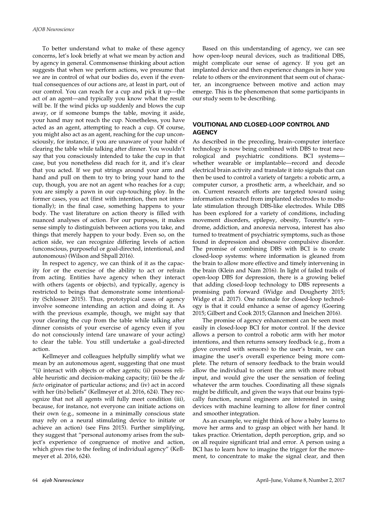To better understand what to make of these agency concerns, let's look briefly at what we mean by action and by agency in general. Commonsense thinking about action suggests that when we perform actions, we presume that we are in control of what our bodies do, even if the eventual consequences of our actions are, at least in part, out of our control. You can reach for a cup and pick it up—the act of an agent—and typically you know what the result will be. If the wind picks up suddenly and blows the cup away, or if someone bumps the table, moving it aside, your hand may not reach the cup. Nonetheless, you have acted as an agent, attempting to reach a cup. Of course, you might also act as an agent, reaching for the cup unconsciously, for instance, if you are unaware of your habit of clearing the table while talking after dinner. You wouldn't say that you consciously intended to take the cup in that case, but you nonetheless did reach for it, and it's clear that you acted. If we put strings around your arm and hand and pull on them to try to bring your hand to the cup, though, you are not an agent who reaches for a cup; you are simply a pawn in our cup-touching ploy. In the former cases, you act (first with intention, then not intentionally); in the final case, something happens to your body. The vast literature on action theory is filled with nuanced analyses of action. For our purposes, it makes sense simply to distinguish between actions you take, and things that merely happen to your body. Even so, on the action side, we can recognize differing levels of action (unconscious, purposeful or goal-directed, intentional, and autonomous) (Wilson and Shpall 2016).

In respect to agency, we can think of it as the capacity for or the exercise of the ability to act or refrain from acting. Entities have agency when they interact with others (agents or objects), and typically, agency is restricted to beings that demonstrate some intentionality (Schlosser 2015). Thus, prototypical cases of agency involve someone intending an action and doing it. As with the previous example, though, we might say that your clearing the cup from the table while talking after dinner consists of your exercise of agency even if you do not consciously intend (are unaware of your acting) to clear the table. You still undertake a goal-directed action.

Kellmeyer and colleagues helpfully simplify what we mean by an autonomous agent, suggesting that one must "(i) interact with objects or other agents; (ii) possess reliable heuristic and decision-making capacity; (iii) be the  $de$ facto originator of particular actions; and (iv) act in accord with her (its) beliefs" (Kellmeyer et al. 2016, 624). They recognize that not all agents will fully meet condition (iii), because, for instance, not everyone can initiate actions on their own (e.g., someone in a minimally conscious state may rely on a neural stimulating device to initiate or achieve an action) (see Fins 2015). Further simplifying, they suggest that "personal autonomy arises from the subject's experience of congruence of motive and action, which gives rise to the feeling of individual agency" (Kellmeyer et al. 2016, 624).

Based on this understanding of agency, we can see how open-loop neural devices, such as traditional DBS, might complicate our sense of agency. If you get an implanted device and then experience changes in how you relate to others or the environment that seem out of character, an incongruence between motive and action may emerge. This is the phenomenon that some participants in our study seem to be describing.

### VOLITIONAL AND CLOSED-LOOP CONTROL AND **AGENCY**

As described in the preceding, brain–computer interface technology is now being combined with DBS to treat neurological and psychiatric conditions. BCI systems whether wearable or implantable—record and decode electrical brain activity and translate it into signals that can then be used to control a variety of targets: a robotic arm, a computer cursor, a prosthetic arm, a wheelchair, and so on. Current research efforts are targeted toward using information extracted from implanted electrodes to modulate stimulation through DBS-like electrodes. While DBS has been explored for a variety of conditions, including movement disorders, epilepsy, obesity, Tourette's syndrome, addiction, and anorexia nervosa, interest has also turned to treatment of psychiatric symptoms, such as those found in depression and obsessive compulsive disorder. The promise of combining DBS with BCI is to create closed-loop systems: where information is gleaned from the brain to allow more effective and timely intervening in the brain (Klein and Nam 2016). In light of failed trails of open-loop DBS for depression, there is a growing belief that adding closed-loop technology to DBS represents a promising path forward (Widge and Dougherty 2015; Widge et al. 2017). One rationale for closed-loop technology is that it could enhance a sense of agency (Goering 2015; Gilbert and Cook 2015; Glannon and Ineichen 2016).

The promise of agency enhancement can be seen most easily in closed-loop BCI for motor control. If the device allows a person to control a robotic arm with her motor intentions, and then returns sensory feedback (e.g., from a glove covered with sensors) to the user's brain, we can imagine the user's overall experience being more complete. The return of sensory feedback to the brain would allow the individual to orient the arm with more robust input, and would give the user the sensation of feeling whatever the arm touches. Coordinating all these signals might be difficult, and given the ways that our brains typically function, neural engineers are interested in using devices with machine learning to allow for finer control and smoother integration.

As an example, we might think of how a baby learns to move her arms and to grasp an object with her hand. It takes practice. Orientation, depth perception, grip, and so on all require significant trial and error. A person using a BCI has to learn how to imagine the trigger for the movement, to concentrate to make the signal clear, and then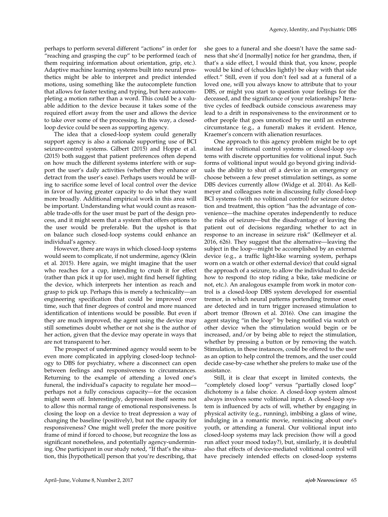perhaps to perform several different "actions" in order for "reaching and grasping the cup" to be performed (each of them requiring information about orientation, grip, etc.). Adaptive machine learning systems built into neural prosthetics might be able to interpret and predict intended motions, using something like the autocomplete function that allows for faster texting and typing, but here autocompleting a motion rather than a word. This could be a valuable addition to the device because it takes some of the required effort away from the user and allows the device to take over some of the processing. In this way, a closedloop device could be seen as supporting agency.

The idea that a closed-loop system could generally support agency is also a rationale supporting use of BCI seizure-control systems. Gilbert (2015) and Hoppe et al. (2015) both suggest that patient preferences often depend on how much the different systems interfere with or support the user's daily activities (whether they enhance or detract from the user's ease). Perhaps users would be willing to sacrifice some level of local control over the device in favor of having greater capacity to do what they want more broadly. Additional empirical work in this area will be important. Understanding what would count as reasonable trade-offs for the user must be part of the design process, and it might seem that a system that offers options to the user would be preferable. But the upshot is that on balance such closed-loop systems could enhance an individual's agency.

However, there are ways in which closed-loop systems would seem to complicate, if not undermine, agency (Klein et al. 2015). Here again, we might imagine that the user who reaches for a cup, intending to crush it for effect (rather than pick it up for use), might find herself fighting the device, which interprets her intention as reach and grasp to pick up. Perhaps this is merely a technicality—an engineering specification that could be improved over time, such that finer degrees of control and more nuanced identification of intentions would be possible. But even if they are much improved, the agent using the device may still sometimes doubt whether or not she is the author of her action, given that the device may operate in ways that are not transparent to her.

The prospect of undermined agency would seem to be even more complicated in applying closed-loop technology to DBS for psychiatry, where a disconnect can open between feelings and responsiveness to circumstances. Returning to the example of attending a loved one's funeral, the individual's capacity to regulate her mood perhaps not a fully conscious capacity—for the occasion might seem off. Interestingly, depression itself seems not to allow this normal range of emotional responsiveness. Is closing the loop on a device to treat depression a way of changing the baseline (positively), but not the capacity for responsiveness? One might well prefer the more positive frame of mind if forced to choose, but recognize the loss as significant nonetheless, and potentially agency-undermining. One participant in our study noted, "If that's the situation, this [hypothetical] person that you're describing, that

she goes to a funeral and she doesn't have the same sadness that she'd [normally] notice for her grandma, then, if that's a side effect, I would think that, you know, people would be kind of (chuckles lightly) be okay with that side effect." Still, even if you don't feel sad at a funeral of a loved one, will you always know to attribute that to your DBS, or might you start to question your feelings for the deceased, and the significance of your relationships? Iterative cycles of feedback outside conscious awareness may lead to a drift in responsiveness to the environment or to other people that goes unnoticed by me until an extreme circumstance (e.g., a funeral) makes it evident. Hence, Kraemer's concern with alienation resurfaces.

One approach to this agency problem might be to opt instead for volitional control systems or closed-loop systems with discrete opportunities for volitional input. Such forms of volitional input would go beyond giving individuals the ability to shut off a device in an emergency or choose between a few preset stimulation settings, as some DBS devices currently allow (Widge et al. 2014). As Kellmeyer and colleagues note in discussing fully closed-loop BCI systems (with no volitional control) for seizure detection and treatment, this option "has the advantage of convenience—the machine operates independently to reduce the risks of seizure—but the disadvantage of leaving the patient out of decisions regarding whether to act in response to an increase in seizure risk" (Kellmeyer et al. 2016, 626). They suggest that the alternative—leaving the subject in the loop—might be accomplished by an external device (e.g., a traffic light-like warning system, perhaps worn on a watch or other external device) that could signal the approach of a seizure, to allow the individual to decide how to respond (to stop riding a bike, take medicine or not, etc.). An analogous example from work in motor control is a closed-loop DBS system developed for essential tremor, in which neural patterns portending tremor onset are detected and in turn trigger increased stimulation to abort tremor (Brown et al. 2016). One can imagine the agent staying "in the loop" by being notified via watch or other device when the stimulation would begin or be increased, and/or by being able to reject the stimulation, whether by pressing a button or by removing the watch. Stimulation, in these instances, could be offered to the user as an option to help control the tremors, and the user could decide case-by-case whether she prefers to make use of the assistance.

Still, it is clear that except in limited contexts, the "completely closed loop" versus "partially closed loop" dichotomy is a false choice. A closed-loop system almost always involves some volitional input. A closed-loop system is influenced by acts of will, whether by engaging in physical activity (e.g., running), imbibing a glass of wine, indulging in a romantic movie, reminiscing about one's youth, or attending a funeral. Our volitional input into closed-loop systems may lack precision (how will a good run affect your mood today?), but, similarly, it is doubtful also that effects of device-mediated volitional control will have precisely intended effects on closed-loop systems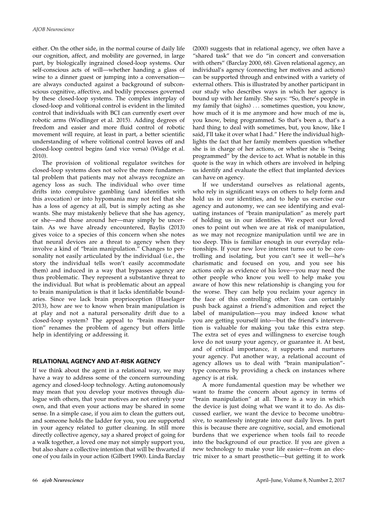either. On the other side, in the normal course of daily life our cognition, affect, and mobility are governed, in large part, by biologically ingrained closed-loop systems. Our self-conscious acts of will—whether handing a glass of wine to a dinner guest or jumping into a conversation are always conducted against a background of subconscious cognitive, affective, and bodily processes governed by these closed-loop systems. The complex interplay of closed-loop and volitional control is evident in the limited control that individuals with BCI can currently exert over robotic arms (Wodlinger et al. 2015). Adding degrees of freedom and easier and more fluid control of robotic movement will require, at least in part, a better scientific understanding of where volitional control leaves off and closed-loop control begins (and vice versa) (Widge et al. 2010).

The provision of volitional regulator switches for closed-loop systems does not solve the more fundamental problem that patients may not always recognize an agency loss as such. The individual who over time drifts into compulsive gambling (and identifies with this avocation) or into hypomania may not feel that she has a loss of agency at all, but is simply acting as she wants. She may mistakenly believe that she has agency, or she—and those around her—may simply be uncertain. As we have already encountered, Baylis (2013) gives voice to a species of this concern when she notes that neural devices are a threat to agency when they involve a kind of "brain manipulation." Changes to personality not easily articulated by the individual (i.e., the story the individual tells won't easily accommodate them) and induced in a way that bypasses agency are thus problematic. They represent a substantive threat to the individual. But what is problematic about an appeal to brain manipulation is that it lacks identifiable boundaries. Since we lack brain proprioception (Haselager 2013), how are we to know when brain manipulation is at play and not a natural personality drift due to a closed-loop system? The appeal to "brain manipulation" renames the problem of agency but offers little help in identifying or addressing it.

#### RELATIONAL AGENCY AND AT-RISK AGENCY

If we think about the agent in a relational way, we may have a way to address some of the concern surrounding agency and closed-loop technology. Acting autonomously may mean that you develop your motives through dialogue with others, that your motives are not entirely your own, and that even your actions may be shared in some sense. In a simple case, if you aim to clean the gutters out, and someone holds the ladder for you, you are supported in your agency related to gutter cleaning. In still more directly collective agency, say a shared project of going for a walk together, a loved one may not simply support you, but also share a collective intention that will be thwarted if one of you fails in your action (Gilbert 1990). Linda Barclay (2000) suggests that in relational agency, we often have a "shared task" that we do "in concert and conversation with others" (Barclay 2000, 68). Given relational agency, an individual's agency (connecting her motives and actions) can be supported through and entwined with a variety of external others. This is illustrated by another participant in our study who describes ways in which her agency is bound up with her family. She says: "So, there's people in my family that (sighs) ... sometimes question, you know, how much of it is me anymore and how much of me is, you know, being programmed. So that's been a, that's a hard thing to deal with sometimes, but, you know, like I said, I'll take it over what I had." Here the individual highlights the fact that her family members question whether she is in charge of her actions, or whether she is "being programmed" by the device to act. What is notable in this quote is the way in which others are involved in helping us identify and evaluate the effect that implanted devices can have on agency.

If we understand ourselves as relational agents, who rely in significant ways on others to help form and hold us in our identities, and to help us exercise our agency and autonomy, we can see identifying and evaluating instances of "brain manipulation" as merely part of holding us in our identities. We expect our loved ones to point out when we are at risk of manipulation, as we may not recognize manipulation until we are in too deep. This is familiar enough in our everyday relationships. If your new love interest turns out to be controlling and isolating, but you can't see it well—he's charismatic and focused on you, and you see his actions only as evidence of his love—you may need the other people who know you well to help make you aware of how this new relationship is changing you for the worse. They can help you reclaim your agency in the face of this controlling other. You can certainly push back against a friend's admonition and reject the label of manipulation—you may indeed know what you are getting yourself into—but the friend's intervention is valuable for making you take this extra step. The extra set of eyes and willingness to exercise tough love do not usurp your agency, or guarantee it. At best, and of critical importance, it supports and nurtures your agency. Put another way, a relational account of agency allows us to deal with "brain manipulation" type concerns by providing a check on instances where agency is at risk.

A more fundamental question may be whether we want to frame the concern about agency in terms of "brain manipulation" at all. There is a way in which the device is just doing what we want it to do. As discussed earlier, we want the device to become unobtrusive, to seamlessly integrate into our daily lives. In part this is because there are cognitive, social, and emotional burdens that we experience when tools fail to recede into the background of our practice. If you are given a new technology to make your life easier—from an electric mixer to a smart prosthetic—but getting it to work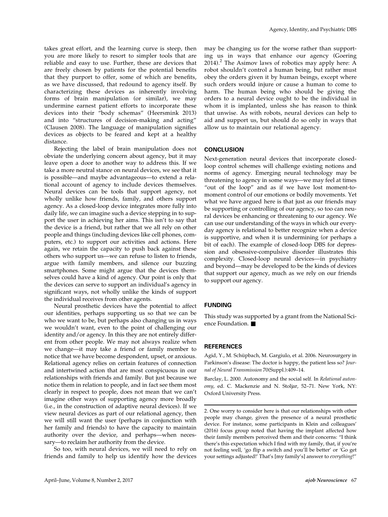takes great effort, and the learning curve is steep, then you are more likely to resort to simpler tools that are reliable and easy to use. Further, these are devices that are freely chosen by patients for the potential benefits that they purport to offer, some of which are benefits, as we have discussed, that redound to agency itself. By characterizing these devices as inherently involving forms of brain manipulation (or similar), we may undermine earnest patient efforts to incorporate these devices into their "body schemas" (Heersmink 2013) and into "structures of decision-making and acting" (Clausen 2008). The language of manipulation signifies devices as objects to be feared and kept at a healthy distance.

Rejecting the label of brain manipulation does not obviate the underlying concern about agency, but it may leave open a door to another way to address this. If we take a more neutral stance on neural devices, we see that it is possible—and maybe advantageous—to extend a relational account of agency to include devices themselves. Neural devices can be tools that support agency, not wholly unlike how friends, family, and others support agency. As a closed-loop device integrates more fully into daily life, we can imagine such a device stepping in to support the user in achieving her aims. This isn't to say that the device is a friend, but rather that we all rely on other people and things (including devices like cell phones, computers, etc.) to support our activities and actions. Here again, we retain the capacity to push back against these others who support us—we can refuse to listen to friends, argue with family members, and silence our buzzing smartphones. Some might argue that the devices themselves could have a kind of agency. Our point is only that the devices can serve to support an individual's agency in significant ways, not wholly unlike the kinds of support the individual receives from other agents.

Neural prosthetic devices have the potential to affect our identities, perhaps supporting us so that we can be who we want to be, but perhaps also changing us in ways we wouldn't want, even to the point of challenging our identity and/or agency. In this they are not entirely different from other people. We may not always realize when we change—it may take a friend or family member to notice that we have become despondent, upset, or anxious. Relational agency relies on certain features of connection and intertwined action that are most conspicuous in our relationships with friends and family. But just because we notice them in relation to people, and in fact see them most clearly in respect to people, does not mean that we can't imagine other ways of supporting agency more broadly (i.e., in the construction of adaptive neural devices). If we view neural devices as part of our relational agency, then we will still want the user (perhaps in conjunction with her family and friends) to have the capacity to maintain authority over the device, and perhaps—when necessary—to reclaim her authority from the device.

So too, with neural devices, we will need to rely on friends and family to help us identify how the devices may be changing us for the worse rather than supporting us in ways that enhance our agency (Goering  $2014$ ).<sup>2</sup> The Asimov laws of robotics may apply here: A robot shouldn't control a human being, but rather must obey the orders given it by human beings, except where such orders would injure or cause a human to come to harm. The human being who should be giving the orders to a neural device ought to be the individual in whom it is implanted, unless she has reason to think that unwise. As with robots, neural devices can help to aid and support us, but should do so only in ways that allow us to maintain our relational agency.

#### **CONCLUSION**

Next-generation neural devices that incorporate closedloop control schemes will challenge existing notions and norms of agency. Emerging neural technology may be threatening to agency in some ways—we may feel at times "out of the loop" and as if we have lost moment-tomoment control of our emotions or bodily movements. Yet what we have argued here is that just as our friends may be supporting or controlling of our agency, so too can neural devices be enhancing or threatening to our agency. We can use our understanding of the ways in which our everyday agency is relational to better recognize when a device is supportive, and when it is undermining (or perhaps a bit of each). The example of closed-loop DBS for depression and obsessive-compulsive disorder illustrates this complexity. Closed-loop neural devices—in psychiatry and beyond—may be developed to be the kinds of devices that support our agency, much as we rely on our friends to support our agency.

### FUNDING

This study was supported by a grant from the National Science Foundation.  $\blacksquare$ 

#### **REFERENCES**

Agid, Y., M. Schüpbach, M. Gargiulo, et al. 2006. Neurosurgery in Parkinson's disease: The doctor is happy, the patient less so? Journal of Neural Transmission 70(Suppl.):409–14.

Barclay, L. 2000. Autonomy and the social self. In Relational autonomy, ed. C. Mackenzie and N. Stoljar, 52–71. New York, NY: Oxford University Press.

2. One worry to consider here is that our relationships with other people may change, given the presence of a neural prosthetic device. For instance, some participants in Klein and colleagues' (2016) focus group noted that having the implant affected how their family members perceived them and their concerns: "I think there's this expectation which I find with my family, that, if you're not feeling well, 'go flip a switch and you'll be better' or 'Go get your settings adjusted!' That's [my family's] answer to everything!"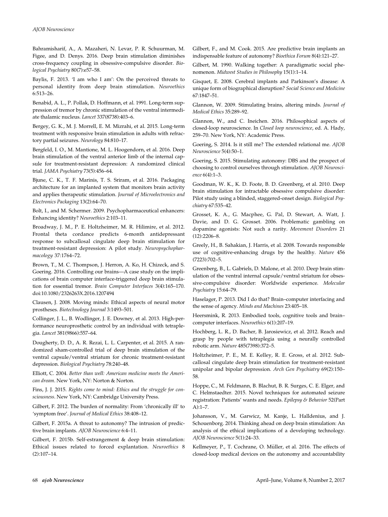Bahramisharif, A., A. Mazaheri, N. Levar, P. R. Schuurman, M. Figee, and D. Denys. 2016. Deep brain stimulation diminishes cross-frequency coupling in obsessive-compulsive disorder. Biological Psychiatry 80(7):e57–58.

Baylis, F. 2013. 'I am who I am': On the perceived threats to personal identity from deep brain stimulation. Neuroethics 6:513–26.

Benabid, A. L., P. Pollak, D. Hoffmann, et al. 1991. Long-term suppression of tremor by chronic stimulation of the ventral intermediate thalamic nucleus. Lancet 337(8738):403–6.

Bergey, G. K., M. J. Morrell, E. M. Mizrahi, et al. 2015. Long-term treatment with responsive brain stimulation in adults with refractory partial seizures. Neurology 84:810–17.

Bergfeld, I. O., M. Mantione, M. L. Hoogendorn, et al. 2016. Deep brain stimulation of the ventral anterior limb of the internal capsule for treatment-resistant depression: A randomized clinical trial. JAMA Psychiatry 73(5):456–64.

Bjune, C. K., T. F. Marinis, T. S. Sriram, et al. 2016. Packaging architecture for an implanted system that monitors brain activity and applies therapeutic stimulation. Journal of Microelectronics and Electronics Packaging 13(2):64–70.

Bolt, I., and M. Schermer. 2009. Psychopharmaceutical enhancers: Enhancing identity? Neuroethics 2:103–11.

Broadway, J. M., P. E. Holtzheimer, M. R. Hilimire, et al. 2012. Frontal theta cordance predicts 6-month antidepressant response to subcallosal cingulate deep brain stimulation for treatment-resistant depression: A pilot study. Neuropsychopharmacology 37:1764–72.

Brown, T., M. C. Thompson, J. Herron, A. Ko, H. Chizeck, and S. Goering. 2016. Controlling our brains—A case study on the implications of brain computer interface-triggered deep brain stimulation for essential tremor. Brain Computer Interfaces 3(4):165–170. doi:10.1080/2326263X.2016.1207494

Clausen, J. 2008. Moving minds: Ethical aspects of neural motor prostheses. Biotechnology Journal 3:1493–501.

Collinger, J. L., B. Wodlinger, J. E. Downey, et al. 2013. High-performance neuroprosthetic control by an individual with tetraplegia. Lancet 381(9866):557–64.

Dougherty, D. D., A. R. Rezai, L. L. Carpenter, et al. 2015. A randomized sham-controlled trial of deep brain stimulation of the ventral capsule/ventral striatum for chronic treatment-resistant depression. Biological Psychiatry 78:240–48.

Elliott, C. 2004. Better than well: American medicine meets the American dream. New York, NY: Norton & Norton.

Fins, J. J. 2015. Rights come to mind: Ethics and the struggle for consciousness. New York, NY: Cambridge University Press.

Gilbert, F. 2012. The burden of normality: From 'chronically ill' to 'symptom free'. Journal of Medical Ethics 38:408–12.

Gilbert, F. 2015a. A threat to autonomy? The intrusion of predictive brain implants. AJOB Neuroscience 6:4–11.

Gilbert, F. 2015b. Self-estrangement & deep brain stimulation: Ethical issues related to forced explantation. Neuroethics 8 (2):107–14.

Gilbert, F., and M. Cook. 2015. Are predictive brain implants an indispensable feature of autonomy? Bioethica Forum 8(4):121–27.

Gilbert, M. 1990. Walking together: A paradigmatic social phenomenon. Midwest Studies in Philosophy 15(1):1–14.

Gisquet, E. 2008. Cerebral implants and Parkinson's disease: A unique form of biographical disruption? Social Science and Medicine 67:1847–51.

Glannon, W. 2009. Stimulating brains, altering minds. Journal of Medical Ethics 35:289–92.

Glannon, W., and C. Ineichen. 2016. Philosophical aspects of closed-loop neuroscience. In Closed loop neuroscience, ed. A. Hady, 259–70. New York, NY: Academic Press.

Goering, S. 2014. Is it still me? The extended relational me. AJOB Neuroscience 5(4):50–1.

Goering, S. 2015. Stimulating autonomy: DBS and the prospect of choosing to control ourselves through stimulation. AJOB Neuroscience 6(4):1–3.

Goodman, W. K., K. D. Foote, B. D. Greenberg, et al. 2010. Deep brain stimulation for intractable obsessive compulsive disorder: Pilot study using a blinded, staggered-onset design. Biological Psychiatry 67:535–42.

Grosset, K. A., G. Macphee, G. Pal, D. Stewart, A. Watt, J. Davie, and D. G. Grosset. 2006. Problematic gambling on dopamine agonists: Not such a rarity. Movement Disorders 21 (12):2206–8.

Greely, H., B. Sahakian, J. Harris, et al. 2008. Towards responsible use of cognitive-enhancing drugs by the healthy. Nature 456 (7223):702–5.

Greenberg, B., L. Gabriels, D. Malone, et al. 2010. Deep brain stimulation of the ventral internal capsule/ventral striatum for obsessive-compulsive disorder: Worldwide experience. Molecular Psychiatry 15:64–79.

Haselager, P. 2013. Did I do that? Brain–computer interfacing and the sense of agency. Minds and Machines 23:405–18.

Heersmink, R. 2013. Embodied tools, cognitive tools and brain– computer interfaces. Neuroethics 6(1):207–19.

Hochberg, L. R., D. Bacher, B. Jarosiewicz, et al. 2012. Reach and grasp by people with tetraplegia using a neurally controlled robotic arm. Nature 485(7398):372–5.

Holtzheimer, P. E., M. E. Kelley, R. E. Gross, et al. 2012. Subcallosal cingulate deep brain stimulation for treatment-resistant unipolar and bipolar depression. Arch Gen Psychiatry 69(2):150– 58.

Hoppe, C., M. Feldmann, B. Blachut, B. R. Surges, C. E. Elger, and C. Helmstaedter. 2015. Novel techniques for automated seizure registration: Patients' wants and needs. Epilepsy & Behavior 52(Part A):1–7.

Johansson, V., M. Garwicz, M. Kanje, L. Halldenius, and J. Schouenborg. 2014. Thinking ahead on deep brain stimulation: An analysis of the ethical implications of a developing technology. AJOB Neuroscience 5(1):24–33.

Kellmeyer, P., T. Cochrane, O. Müller, et al. 2016. The effects of closed-loop medical devices on the autonomy and accountability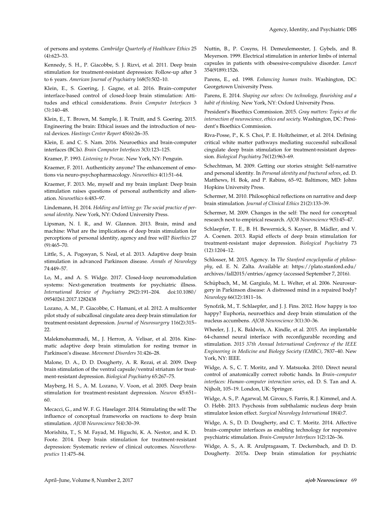of persons and systems. Cambridge Quarterly of Healthcare Ethics 25 (4):623–33.

Kennedy, S. H., P. Giacobbe, S. J. Rizvi, et al. 2011. Deep brain stimulation for treatment-resistant depression: Follow-up after 3 to 6 years. American Journal of Psychiatry 168(5):502–10.

Klein, E., S. Goering, J. Gagne, et al. 2016. Brain–computer interface-based control of closed-loop brain stimulation: Attitudes and ethical considerations. Brain Computer Interfaces 3 (3):140–48.

Klein, E., T. Brown, M. Sample, J. R. Truitt, and S. Goering. 2015. Engineering the brain: Ethical issues and the introduction of neural devices. Hastings Center Report 45(6):26–35.

Klein, E. and C. S. Nam. 2016. Neuroethics and brain-computer interfaces (BCIs). Brain Computer Interfaces 3(3):123–125.

Kramer, P. 1993. Listening to Prozac. New York, NY: Penguin.

Kraemer, F. 2011. Authenticity anyone? The enhancement of emotions via neuro-psychopharmacology. Neuroethics 4(1):51–64.

Kraemer, F. 2013. Me, myself and my brain implant: Deep brain stimulation raises questions of personal authenticity and alienation. Neuroethics 6:483–97.

Lindemann, H. 2014. Holding and letting go: The social practice of personal identity. New York, NY: Oxford University Press.

Lipsman, N. I. R., and W. Glannon. 2013. Brain, mind and machine: What are the implications of deep brain stimulation for perceptions of personal identity, agency and free will? Bioethics 27 (9):465–70.

Little, S., A. Pogosyan, S. Neal, et al. 2013. Adaptive deep brain stimulation in advanced Parkinson disease. Annals of Neurology 74:449–57.

Lo, M., and A. S. Widge. 2017. Closed-loop neuromodulation systems: Next-generation treatments for psychiatric illness. International Review of Psychiatry 29(2):191–204. doi:10.1080/ 09540261.2017.1282438

Lozano, A. M., P. Giacobbe, C. Hamani, et al. 2012. A multicenter pilot study of subcallosal cingulate area deep brain stimulation for treatment-resistant depression. Journal of Neurosurgery 116(2):315– 22.

Malekmohammadi, M., J. Herron, A. Velisar, et al. 2016. Kinematic adaptive deep brain stimulation for resting tremor in Parkinson's disease. Movement Disorders 31:426–28.

Malone, D. A., D. D. Dougherty, A. R. Rezai, et al. 2009. Deep brain stimulation of the ventral capsule/ventral striatum for treatment-resistant depression. Biological Psychiatry 65:267–75.

Mayberg, H. S., A. M. Lozano, V. Voon, et al. 2005. Deep brain stimulation for treatment-resistant depression. Neuron 45:651– 60.

Mecacci, G., and W. F. G. Haselager. 2014. Stimulating the self: The influence of conceptual frameworks on reactions to deep brain stimulation. AJOB Neuroscience 5(4):30–39.

Morishita, T., S. M. Fayad, M. Higuchi, K. A. Nestor, and K. D. Foote. 2014. Deep brain stimulation for treatment-resistant depression: Systematic review of clinical outcomes. Neurotherapeutics 11:475–84.

Nuttin, B., P. Cosyns, H. Demeulemeester, J. Gybels, and B. Meyerson. 1999. Electrical stimulation in anterior limbs of internal capsules in patients with obsessive-compulsive disorder. Lancet 354(9189):1526.

Parens, E., ed. 1998. Enhancing human traits. Washington, DC: Georgetown University Press.

Parens, E. 2014. Shaping our selves: On technology, flourishing and a habit of thinking. New York, NY: Oxford University Press.

President's Bioethics Commission. 2015. Gray matters: Topics at the intersection of neuroscience, ethics and society. Washington, DC: President's Bioethics Commission.

Riva-Posse, P., K. S. Choi, P. E. Holtzheimer, et al. 2014. Defining critical white matter pathways mediating successful subcallosal cingulate deep brain stimulation for treatment-resistant depression. Biological Psychiatry 76(12):963–69.

Schechtman, M. 2009. Getting our stories straight: Self-narrative and personal identity. In Personal identity and fractured selves, ed. D. Matthews, H. Bok, and P. Rabins, 65–92. Baltimore, MD: Johns Hopkins University Press.

Schermer, M. 2010. Philosophical reflections on narrative and deep brain stimulation. Journal of Clinical Ethics 21(2):133–39.

Schermer, M. 2009. Changes in the self: The need for conceptual research next to empirical research. AJOB Neuroscience 9(5):45–47.

Schlaepfer, T. E., B. H. Bewernick, S. Kayser, B. Mädler, and V. A. Coenen. 2013. Rapid effects of deep brain stimulation for treatment-resistant major depression. Biological Psychiatry 73 (12):1204–12.

Schlosser, M. 2015. Agency. In The Stanford encyclopedia of philosophy, ed. E. N. Zalta. Available at: [https://plato.stanford.edu/](https://plato.stanford.edu/archives/fall2015/entries/agency) [archives/fall2015/entries/agency](https://plato.stanford.edu/archives/fall2015/entries/agency) (accessed September 7, 2016).

Schüpbach, M., M. Gargiulo, M. L. Welter, et al. 2006. Neurosurgery in Parkinson disease: A distressed mind in a repaired body? Neurology 66(12):1811–16.

Synofzik, M., T. Schlaepfer, and J. J. Fins. 2012. How happy is too happy? Euphoria, neuroethics and deep brain stimulation of the nucleus accumbens. AJOB Neuroscience 3(1):30–36.

Wheeler, J. J., K. Baldwin, A. Kindle, et al. 2015. An implantable 64-channel neural interface with reconfigurable recording and stimulation. 2015 37th Annual International Conference of the IEEE Engineering in Medicine and Biology Society (EMBC), 7837–40. New York, NY: IEEE.

Widge, A. S., C. T. Moritz, and Y. Matsuoka. 2010. Direct neural control of anatomically correct robotic hands. In Brain–computer interfaces: Human–computer interaction series, ed. D. S. Tan and A. Nijholt, 105–19. London, UK: Springer.

Widge, A. S., P. Agarwal, M. Giroux, S. Farris, R. J. Kimmel, and A. O. Hebb. 2013. Psychosis from subthalamic nucleus deep brain stimulator lesion effect. Surgical Neurology International 18(4):7.

Widge, A. S., D. D. Dougherty, and C. T. Moritz. 2014. Affective brain–computer interfaces as enabling technology for responsive psychiatric stimulation. Brain-Computer Interfaces 1(2):126–36.

Widge, A. S., A. R. Arulpragasam, T. Deckersbach, and D. D. Dougherty. 2015a. Deep brain stimulation for psychiatric